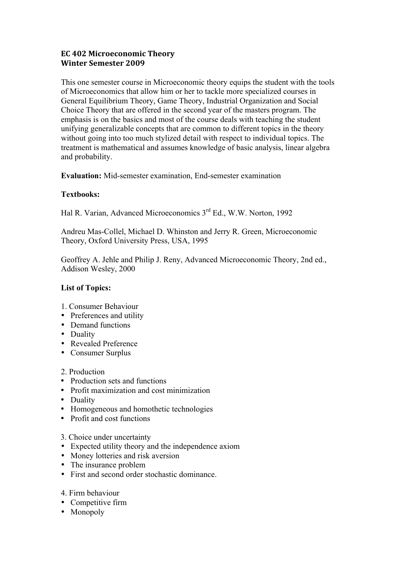## **EC 402 Microeconomic Theory Winter Semester 2009**

This one semester course in Microeconomic theory equips the student with the tools of Microeconomics that allow him or her to tackle more specialized courses in General Equilibrium Theory, Game Theory, Industrial Organization and Social Choice Theory that are offered in the second year of the masters program. The emphasis is on the basics and most of the course deals with teaching the student unifying generalizable concepts that are common to different topics in the theory without going into too much stylized detail with respect to individual topics. The treatment is mathematical and assumes knowledge of basic analysis, linear algebra and probability.

**Evaluation:** Mid-semester examination, End-semester examination

## **Textbooks:**

Hal R. Varian, Advanced Microeconomics 3rd Ed., W.W. Norton, 1992

Andreu Mas-Collel, Michael D. Whinston and Jerry R. Green, Microeconomic Theory, Oxford University Press, USA, 1995

Geoffrey A. Jehle and Philip J. Reny, Advanced Microeconomic Theory, 2nd ed., Addison Wesley, 2000

## **List of Topics:**

- 1. Consumer Behaviour
- Preferences and utility
- Demand functions
- Duality
- Revealed Preference
- Consumer Surplus
- 2. Production
- Production sets and functions
- Profit maximization and cost minimization
- Duality
- Homogeneous and homothetic technologies
- Profit and cost functions
- 3. Choice under uncertainty
- Expected utility theory and the independence axiom
- Money lotteries and risk aversion
- The insurance problem
- First and second order stochastic dominance.
- 4. Firm behaviour
- Competitive firm
- Monopoly